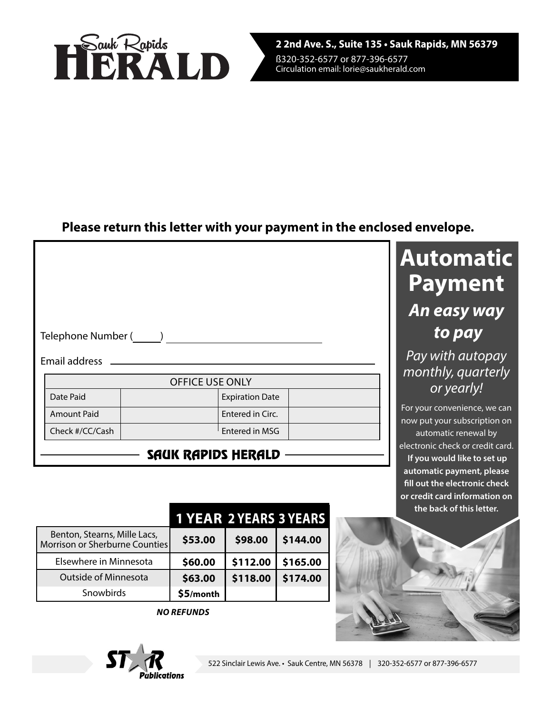

## **Please return this letter with your payment in the enclosed envelope.**

| Telephone Number ( |                        |  |  |  |  |
|--------------------|------------------------|--|--|--|--|
| Email address      |                        |  |  |  |  |
|                    | <b>OFFICE USE ONLY</b> |  |  |  |  |
| Date Paid          | <b>Expiration Date</b> |  |  |  |  |
| <b>Amount Paid</b> | Entered in Circ.       |  |  |  |  |
| Check #/CC/Cash    | Entered in MSG         |  |  |  |  |
|                    |                        |  |  |  |  |

## SAUK RAPIDS HERALD

|                                                                | <b>1 YEAR 2 YEARS 3 YEARS</b> |          |          |
|----------------------------------------------------------------|-------------------------------|----------|----------|
| Benton, Stearns, Mille Lacs,<br>Morrison or Sherburne Counties | \$53.00                       | \$98.00  | \$144.00 |
| Elsewhere in Minnesota                                         | \$60.00                       | \$112.00 | \$165.00 |
| <b>Outside of Minnesota</b>                                    | \$63.00                       | \$118.00 | \$174.00 |
| Snowbirds                                                      | \$5/month                     |          |          |

**NO REFUNDS**



# **Automatic Payment An easy way to pay**

Pay with autopay monthly, quarterly or yearly!

For your convenience, we can now put your subscription on automatic renewal by electronic check or credit card.  **If you would like to set up automatic payment, please fill out the electronic check or credit card information on the back of this letter.**